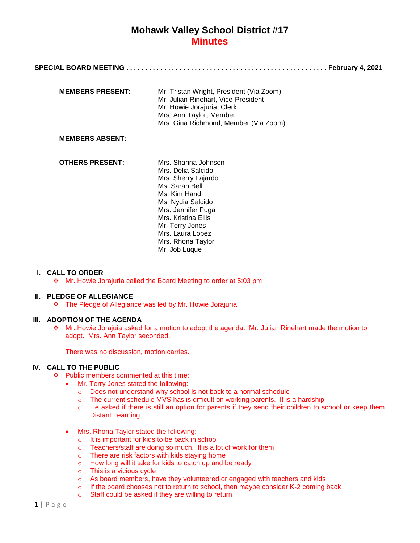|--|--|

| <b>MEMBERS PRESENT:</b> | Mr. Tristan Wright, President (Via Zoom)<br>Mr. Julian Rinehart, Vice-President |
|-------------------------|---------------------------------------------------------------------------------|
|                         | Mr. Howie Jorajuria, Clerk                                                      |
|                         | Mrs. Ann Taylor, Member                                                         |
|                         | Mrs. Gina Richmond, Member (Via Zoom)                                           |

#### **MEMBERS ABSENT:**

**OTHERS PRESENT:** Mrs. Shanna Johnson Mrs. Delia Salcido Mrs. Sherry Fajardo Ms. Sarah Bell Ms. Kim Hand Ms. Nydia Salcido Mrs. Jennifer Puga Mrs. Kristina Ellis Mr. Terry Jones Mrs. Laura Lopez Mrs. Rhona Taylor Mr. Job Luque

#### **I. CALL TO ORDER**

Mr. Howie Jorajuria called the Board Meeting to order at 5:03 pm

#### **II. PLEDGE OF ALLEGIANCE**

The Pledge of Allegiance was led by Mr. Howie Jorajuria

#### **III. ADOPTION OF THE AGENDA**

 Mr. Howie Jorajuia asked for a motion to adopt the agenda. Mr. Julian Rinehart made the motion to adopt. Mrs. Ann Taylor seconded.

There was no discussion, motion carries.

### **IV. CALL TO THE PUBLIC**

- ❖ Public members commented at this time:
	- Mr. Terry Jones stated the following:
		- o Does not understand why school is not back to a normal schedule
		- o The current schedule MVS has is difficult on working parents. It is a hardship
		- o He asked if there is still an option for parents if they send their children to school or keep them Distant Learning
	- Mrs. Rhona Taylor stated the following:
		- o It is important for kids to be back in school
		- o Teachers/staff are doing so much. It is a lot of work for them
		- o There are risk factors with kids staying home
		- o How long will it take for kids to catch up and be ready
		- o This is a vicious cycle
		- o As board members, have they volunteered or engaged with teachers and kids
		- $\circ$  If the board chooses not to return to school, then maybe consider K-2 coming back
		- o Staff could be asked if they are willing to return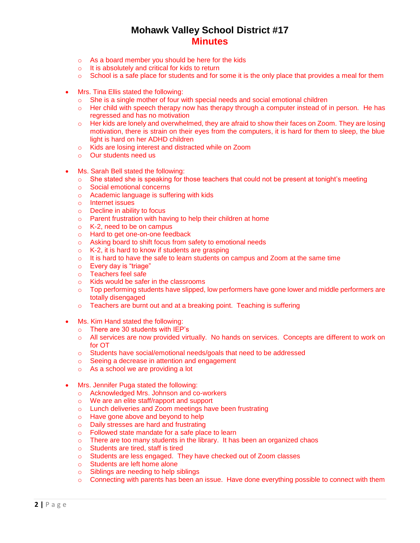- o As a board member you should be here for the kids
- o It is absolutely and critical for kids to return
- o School is a safe place for students and for some it is the only place that provides a meal for them
- Mrs. Tina Ellis stated the following:
	- o She is a single mother of four with special needs and social emotional children
	- o Her child with speech therapy now has therapy through a computer instead of in person*.* He has regressed and has no motivation
	- o Her kids are lonely and overwhelmed, they are afraid to show their faces on Zoom*.* They are losing motivation, there is strain on their eyes from the computers, it is hard for them to sleep, the blue light is hard on her ADHD children
	- o Kids are losing interest and distracted while on Zoom
	- o Our students need us
- Ms. Sarah Bell stated the following:
	- $\circ$  She stated she is speaking for those teachers that could not be present at tonight's meeting
	- o Social emotional concerns
	- o Academic language is suffering with kids
	- o Internet issues
	- o Decline in ability to focus
	- o Parent frustration with having to help their children at home
	- o K-2, need to be on campus
	- o Hard to get one-on-one feedback
	- o Asking board to shift focus from safety to emotional needs
	- $\circ$  K-2, it is hard to know if students are grasping
	- $\circ$  It is hard to have the safe to learn students on campus and Zoom at the same time
	- o Every day is "triage"
	- o Teachers feel safe
	- o Kids would be safer in the classrooms
	- $\circ$  Top performing students have slipped, low performers have gone lower and middle performers are totally disengaged
	- o Teachers are burnt out and at a breaking point. Teaching is suffering
- Ms. Kim Hand stated the following:
	- o There are 30 students with IEP's
	- o All services are now provided virtually. No hands on services. Concepts are different to work on for OT
	- o Students have social/emotional needs/goals that need to be addressed
	- o Seeing a decrease in attention and engagement
	- o As a school we are providing a lot
- Mrs. Jennifer Puga stated the following:
	- o Acknowledged Mrs. Johnson and co-workers
	- o We are an elite staff/rapport and support
	- o Lunch deliveries and Zoom meetings have been frustrating
	- o Have gone above and beyond to help
	- o Daily stresses are hard and frustrating
	- o Followed state mandate for a safe place to learn
	- $\circ$  There are too many students in the library. It has been an organized chaos
	- o Students are tired, staff is tired
	- o Students are less engaged. They have checked out of Zoom classes
	- o Students are left home alone
	- o Siblings are needing to help siblings
	- o Connecting with parents has been an issue. Have done everything possible to connect with them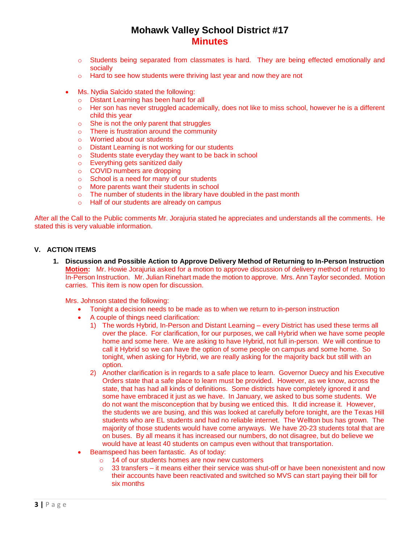- o Students being separated from classmates is hard. They are being effected emotionally and socially
- o Hard to see how students were thriving last year and now they are not
- Ms. Nydia Salcido stated the following:
	- o Distant Learning has been hard for all
	- o Her son has never struggled academically, does not like to miss school, however he is a different child this year
	- o She is not the only parent that struggles
	- o There is frustration around the community
	- o Worried about our students
	- o Distant Learning is not working for our students
	- o Students state everyday they want to be back in school
	- o Everything gets sanitized daily
	- o COVID numbers are dropping
	- o School is a need for many of our students
	- o More parents want their students in school
	- o The number of students in the library have doubled in the past month
	- o Half of our students are already on campus

After all the Call to the Public comments Mr. Jorajuria stated he appreciates and understands all the comments. He stated this is very valuable information.

### **V. ACTION ITEMS**

**1. Discussion and Possible Action to Approve Delivery Method of Returning to In-Person Instruction Motion:** Mr. Howie Jorajuria asked for a motion to approve discussion of delivery method of returning to In-Person Instruction. Mr. Julian Rinehart made the motion to approve. Mrs. Ann Taylor seconded. Motion carries. This item is now open for discussion.

Mrs. Johnson stated the following:

- Tonight a decision needs to be made as to when we return to in-person instruction
- A couple of things need clarification:
	- 1) The words Hybrid, In-Person and Distant Learning every District has used these terms all over the place. For clarification, for our purposes, we call Hybrid when we have some people home and some here. We are asking to have Hybrid, not full in-person. We will continue to call it Hybrid so we can have the option of some people on campus and some home. So tonight, when asking for Hybrid, we are really asking for the majority back but still with an option.
	- 2) Another clarification is in regards to a safe place to learn. Governor Duecy and his Executive Orders state that a safe place to learn must be provided. However, as we know, across the state, that has had all kinds of definitions. Some districts have completely ignored it and some have embraced it just as we have. In January, we asked to bus some students. We do not want the misconception that by busing we enticed this. It did increase it. However, the students we are busing, and this was looked at carefully before tonight, are the Texas Hill students who are EL students and had no reliable internet. The Wellton bus has grown. The majority of those students would have come anyways. We have 20-23 students total that are on buses. By all means it has increased our numbers, do not disagree, but do believe we would have at least 40 students on campus even without that transportation.
- Beamspeed has been fantastic. As of today:
	- o 14 of our students homes are now new customers
		- 33 transfers it means either their service was shut-off or have been nonexistent and now their accounts have been reactivated and switched so MVS can start paying their bill for six months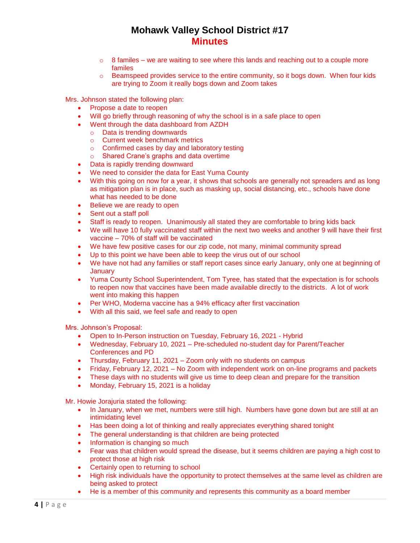- $\circ$  8 familes we are waiting to see where this lands and reaching out to a couple more familes
- $\circ$  Beamspeed provides service to the entire community, so it bogs down. When four kids are trying to Zoom it really bogs down and Zoom takes

Mrs. Johnson stated the following plan:

- Propose a date to reopen
- Will go briefly through reasoning of why the school is in a safe place to open
- Went through the data dashboard from AZDH
	- o Data is trending downwards
	- o Current week benchmark metrics
	- o Confirmed cases by day and laboratory testing
	- o Shared Crane's graphs and data overtime
- Data is rapidly trending downward
- We need to consider the data for East Yuma County
- With this going on now for a year, it shows that schools are generally not spreaders and as long as mitigation plan is in place, such as masking up, social distancing, etc., schools have done what has needed to be done
- Believe we are ready to open
- Sent out a staff poll
- Staff is ready to reopen. Unanimously all stated they are comfortable to bring kids back
- We will have 10 fully vaccinated staff within the next two weeks and another 9 will have their first vaccine – 70% of staff will be vaccinated
- We have few positive cases for our zip code, not many, minimal community spread
- Up to this point we have been able to keep the virus out of our school
- We have not had any families or staff report cases since early January, only one at beginning of **January**
- Yuma County School Superintendent, Tom Tyree, has stated that the expectation is for schools to reopen now that vaccines have been made available directly to the districts. A lot of work went into making this happen
- Per WHO, Moderna vaccine has a 94% efficacy after first vaccination
- With all this said, we feel safe and ready to open

Mrs. Johnson's Proposal:

- Open to In-Person instruction on Tuesday, February 16, 2021 Hybrid
- Wednesday, February 10, 2021 Pre-scheduled no-student day for Parent/Teacher Conferences and PD
- Thursday, February 11, 2021 Zoom only with no students on campus
- Friday, February 12, 2021 No Zoom with independent work on on-line programs and packets
- These days with no students will give us time to deep clean and prepare for the transition
- Monday, February 15, 2021 is a holiday

Mr. Howie Jorajuria stated the following:

- In January, when we met, numbers were still high. Numbers have gone down but are still at an intimidating level
- Has been doing a lot of thinking and really appreciates everything shared tonight
- The general understanding is that children are being protected
- Information is changing so much
- Fear was that children would spread the disease, but it seems children are paying a high cost to protect those at high risk
- Certainly open to returning to school
- High risk individuals have the opportunity to protect themselves at the same level as children are being asked to protect
- He is a member of this community and represents this community as a board member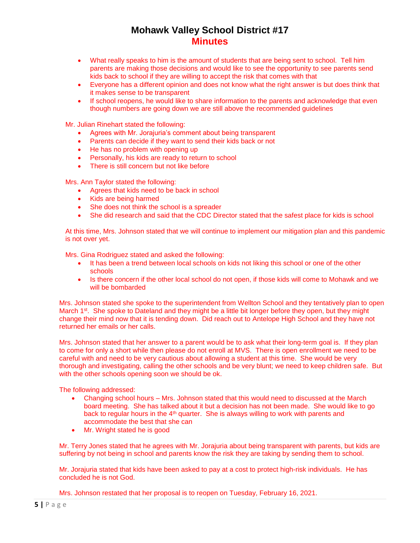- What really speaks to him is the amount of students that are being sent to school. Tell him parents are making those decisions and would like to see the opportunity to see parents send kids back to school if they are willing to accept the risk that comes with that
- Everyone has a different opinion and does not know what the right answer is but does think that it makes sense to be transparent
- If school reopens, he would like to share information to the parents and acknowledge that even though numbers are going down we are still above the recommended guidelines

Mr. Julian Rinehart stated the following:

- Agrees with Mr. Jorajuria's comment about being transparent
- Parents can decide if they want to send their kids back or not
- He has no problem with opening up
- Personally, his kids are ready to return to school
- There is still concern but not like before

Mrs. Ann Taylor stated the following:

- Agrees that kids need to be back in school
- Kids are being harmed
- She does not think the school is a spreader
- She did research and said that the CDC Director stated that the safest place for kids is school

At this time, Mrs. Johnson stated that we will continue to implement our mitigation plan and this pandemic is not over yet.

Mrs. Gina Rodriguez stated and asked the following:

- It has been a trend between local schools on kids not liking this school or one of the other schools
- Is there concern if the other local school do not open, if those kids will come to Mohawk and we will be bombarded

Mrs. Johnson stated she spoke to the superintendent from Wellton School and they tentatively plan to open March 1<sup>st</sup>. She spoke to Dateland and they might be a little bit longer before they open, but they might change their mind now that it is tending down. Did reach out to Antelope High School and they have not returned her emails or her calls.

Mrs. Johnson stated that her answer to a parent would be to ask what their long-term goal is. If they plan to come for only a short while then please do not enroll at MVS. There is open enrollment we need to be careful with and need to be very cautious about allowing a student at this time. She would be very thorough and investigating, calling the other schools and be very blunt; we need to keep children safe. But with the other schools opening soon we should be ok.

The following addressed:

- Changing school hours Mrs. Johnson stated that this would need to discussed at the March board meeting. She has talked about it but a decision has not been made. She would like to go back to regular hours in the  $4<sup>th</sup>$  quarter. She is always willing to work with parents and accommodate the best that she can
- Mr. Wright stated he is good

Mr. Terry Jones stated that he agrees with Mr. Jorajuria about being transparent with parents, but kids are suffering by not being in school and parents know the risk they are taking by sending them to school.

Mr. Jorajuria stated that kids have been asked to pay at a cost to protect high-risk individuals. He has concluded he is not God.

Mrs. Johnson restated that her proposal is to reopen on Tuesday, February 16, 2021.